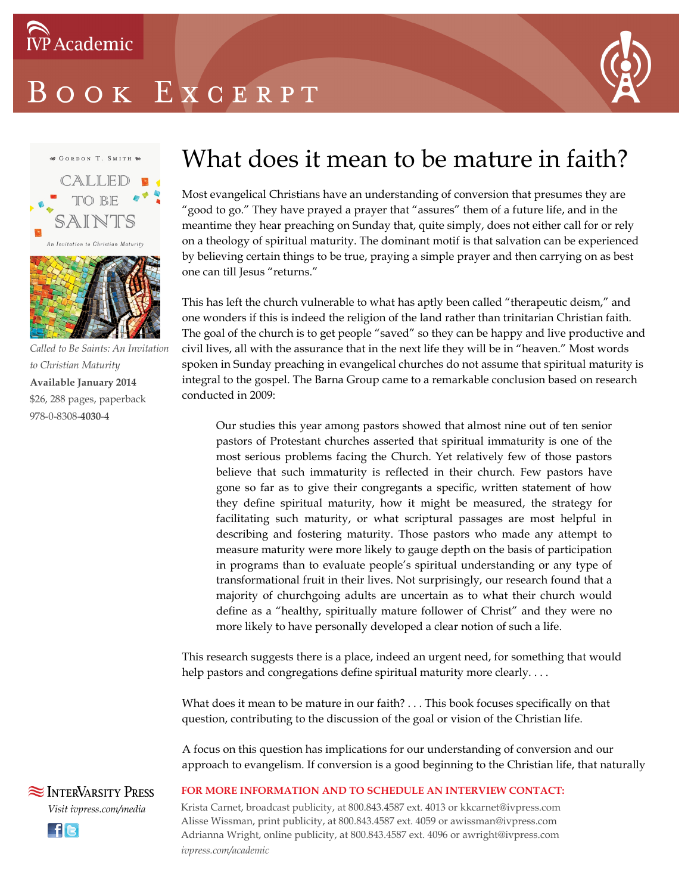# BOOK EXCERPT



*Called to Be Saints: An Invitation to Christian Maturity* **Available January 2014** \$26, 288 pages, paperback 978-0-8308-**4030**-4

### What does it mean to be mature in faith?

Most evangelical Christians have an understanding of conversion that presumes they are "good to go." They have prayed a prayer that "assures" them of a future life, and in the meantime they hear preaching on Sunday that, quite simply, does not either call for or rely on a theology of spiritual maturity. The dominant motif is that salvation can be experienced by believing certain things to be true, praying a simple prayer and then carrying on as best one can till Jesus "returns."

This has left the church vulnerable to what has aptly been called "therapeutic deism," and one wonders if this is indeed the religion of the land rather than trinitarian Christian faith. The goal of the church is to get people "saved" so they can be happy and live productive and civil lives, all with the assurance that in the next life they will be in "heaven." Most words spoken in Sunday preaching in evangelical churches do not assume that spiritual maturity is integral to the gospel. The Barna Group came to a remarkable conclusion based on research conducted in 2009:

Our studies this year among pastors showed that almost nine out of ten senior pastors of Protestant churches asserted that spiritual immaturity is one of the most serious problems facing the Church. Yet relatively few of those pastors believe that such immaturity is reflected in their church. Few pastors have gone so far as to give their congregants a specific, written statement of how they define spiritual maturity, how it might be measured, the strategy for facilitating such maturity, or what scriptural passages are most helpful in describing and fostering maturity. Those pastors who made any attempt to measure maturity were more likely to gauge depth on the basis of participation in programs than to evaluate people's spiritual understanding or any type of transformational fruit in their lives. Not surprisingly, our research found that a majority of churchgoing adults are uncertain as to what their church would define as a "healthy, spiritually mature follower of Christ" and they were no more likely to have personally developed a clear notion of such a life.

This research suggests there is a place, indeed an urgent need, for something that would help pastors and congregations define spiritual maturity more clearly....

What does it mean to be mature in our faith? . . . This book focuses specifically on that question, contributing to the discussion of the goal or vision of the Christian life.

A focus on this question has implications for our understanding of conversion and our approach to evangelism. If conversion is a good beginning to the Christian life, that naturally

#### **FOR MORE INFORMATION AND TO SCHEDULE AN INTERVIEW CONTACT:**

Krista Carnet, broadcast publicity, at 800.843.4587 ext. 4013 or kkcarnet@ivpress.com Alisse Wissman, print publicity, at 800.843.4587 ext. 4059 or awissman@ivpress.com Adrianna Wright, online publicity, at 800.843.4587 ext. 4096 or awright@ivpress.com *ivpress.com/academic*

**SEX INTERVARSITY PRESS** *Visit ivpress.com/media* **Ele**